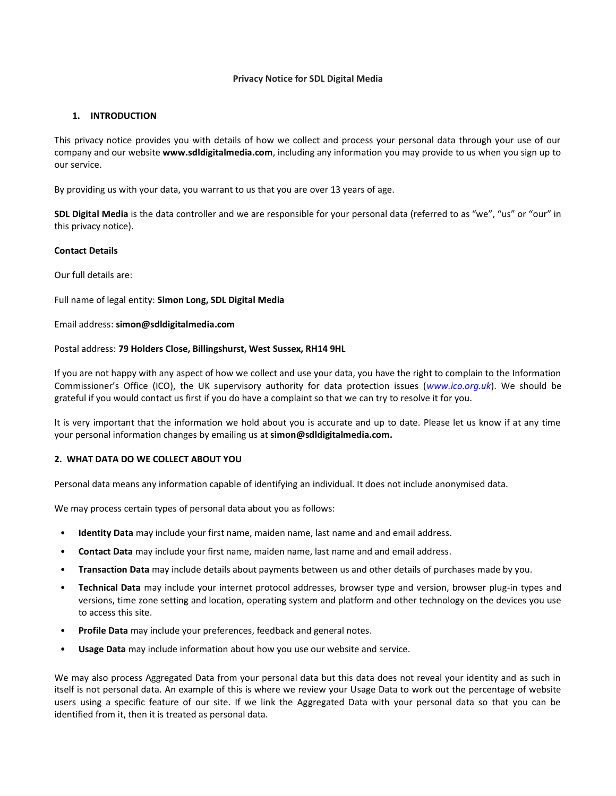#### **Privacy Notice for SDL Digital Media**

# **1. INTRODUCTION**

This privacy notice provides you with details of how we collect and process your personal data through your use of our company and our website **www.sdldigitalmedia.com**, including any information you may provide to us when you sign up to our service.

By providing us with your data, you warrant to us that you are over 13 years of age.

**SDL Digital Media** is the data controller and we are responsible for your personal data (referred to as "we", "us" or "our" in this privacy notice).

## **Contact Details**

Our full details are:

Full name of legal entity: **Simon Long, SDL Digital Media**

#### Email address: **simon@sdldigitalmedia.com**

## Postal address: **79 Holders Close, Billingshurst, West Sussex, RH14 9HL**

If you are not happy with any aspect of how we collect and use your data, you have the right to complain to the Information Commissioner's Office (ICO), the UK supervisory authority for data protection issues (*[www.ico.org.uk](http://www.ico.org.uk/)*). We should be grateful if you would contact us first if you do have a complaint so that we can try to resolve it for you.

It is very important that the information we hold about you is accurate and up to date. Please let us know if at any time your personal information changes by emailing us at **simon@sdldigitalmedia.com.**

# **2. WHAT DATA DO WE COLLECT ABOUT YOU**

Personal data means any information capable of identifying an individual. It does not include anonymised data.

We may process certain types of personal data about you as follows:

- **Identity Data** may include your first name, maiden name, last name and and email address.
- **Contact Data** may include your first name, maiden name, last name and and email address.
- **Transaction Data** may include details about payments between us and other details of purchases made by you.
- **Technical Data** may include your internet protocol addresses, browser type and version, browser plug-in types and versions, time zone setting and location, operating system and platform and other technology on the devices you use to access this site.
- **Profile Data** may include your preferences, feedback and general notes.
- **Usage Data** may include information about how you use our website and service.

We may also process Aggregated Data from your personal data but this data does not reveal your identity and as such in itself is not personal data. An example of this is where we review your Usage Data to work out the percentage of website users using a specific feature of our site. If we link the Aggregated Data with your personal data so that you can be identified from it, then it is treated as personal data.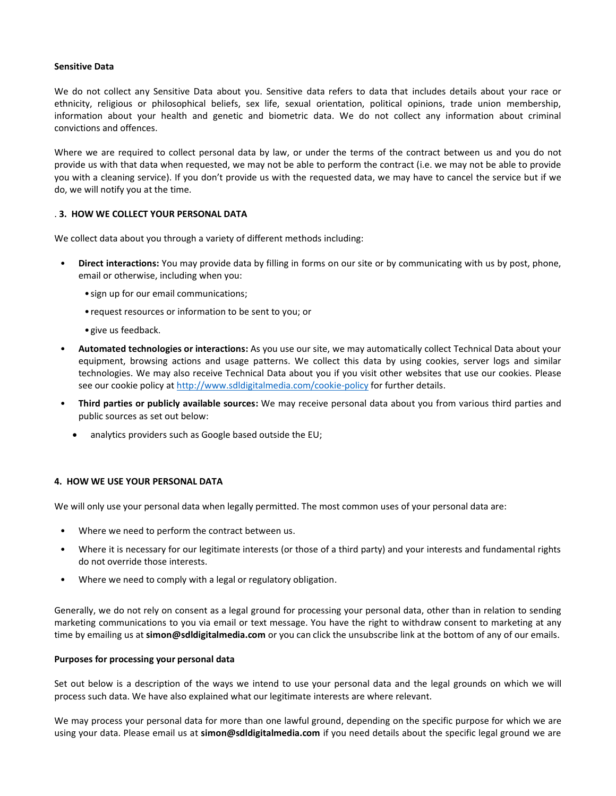#### **Sensitive Data**

We do not collect any Sensitive Data about you. Sensitive data refers to data that includes details about your race or ethnicity, religious or philosophical beliefs, sex life, sexual orientation, political opinions, trade union membership, information about your health and genetic and biometric data. We do not collect any information about criminal convictions and offences.

Where we are required to collect personal data by law, or under the terms of the contract between us and you do not provide us with that data when requested, we may not be able to perform the contract (i.e. we may not be able to provide you with a cleaning service). If you don't provide us with the requested data, we may have to cancel the service but if we do, we will notify you at the time.

## . **3. HOW WE COLLECT YOUR PERSONAL DATA**

We collect data about you through a variety of different methods including:

- **Direct interactions:** You may provide data by filling in forms on our site or by communicating with us by post, phone, email or otherwise, including when you:
	- •sign up for our email communications;
	- •request resources or information to be sent to you; or
	- •give us feedback.
- **Automated technologies or interactions:** As you use our site, we may automatically collect Technical Data about your equipment, browsing actions and usage patterns. We collect this data by using cookies, server logs and similar technologies. We may also receive Technical Data about you if you visit other websites that use our cookies. Please see our cookie policy at<http://www.sdldigitalmedia.com/cookie-policy> for further details.
- **Third parties or publicly available sources:** We may receive personal data about you from various third parties and public sources as set out below:
	- analytics providers such as Google based outside the EU;

# **4. HOW WE USE YOUR PERSONAL DATA**

We will only use your personal data when legally permitted. The most common uses of your personal data are:

- Where we need to perform the contract between us.
- Where it is necessary for our legitimate interests (or those of a third party) and your interests and fundamental rights do not override those interests.
- Where we need to comply with a legal or regulatory obligation.

Generally, we do not rely on consent as a legal ground for processing your personal data, other than in relation to sending marketing communications to you via email or text message. You have the right to withdraw consent to marketing at any time by emailing us at **simon@sdldigitalmedia.com** or you can click the unsubscribe link at the bottom of any of our emails.

#### **Purposes for processing your personal data**

Set out below is a description of the ways we intend to use your personal data and the legal grounds on which we will process such data. We have also explained what our legitimate interests are where relevant.

We may process your personal data for more than one lawful ground, depending on the specific purpose for which we are using your data. Please email us at **simon@sdldigitalmedia.com** if you need details about the specific legal ground we are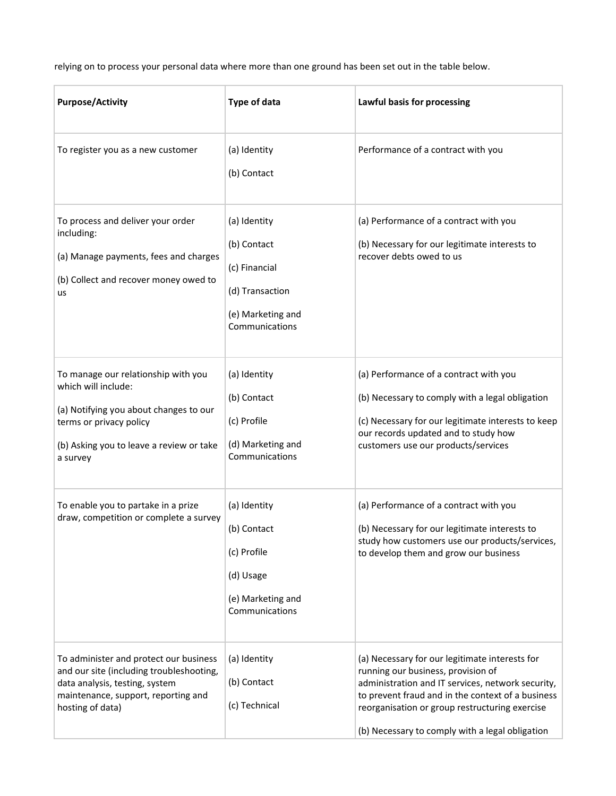relying on to process your personal data where more than one ground has been set out in the table below.

| <b>Purpose/Activity</b>                                                                                                                                                                 | <b>Type of data</b>                                                                                    | Lawful basis for processing                                                                                                                                                                                                                                                                         |
|-----------------------------------------------------------------------------------------------------------------------------------------------------------------------------------------|--------------------------------------------------------------------------------------------------------|-----------------------------------------------------------------------------------------------------------------------------------------------------------------------------------------------------------------------------------------------------------------------------------------------------|
| To register you as a new customer                                                                                                                                                       | (a) Identity<br>(b) Contact                                                                            | Performance of a contract with you                                                                                                                                                                                                                                                                  |
| To process and deliver your order<br>including:<br>(a) Manage payments, fees and charges<br>(b) Collect and recover money owed to<br>us                                                 | (a) Identity<br>(b) Contact<br>(c) Financial<br>(d) Transaction<br>(e) Marketing and<br>Communications | (a) Performance of a contract with you<br>(b) Necessary for our legitimate interests to<br>recover debts owed to us                                                                                                                                                                                 |
| To manage our relationship with you<br>which will include:<br>(a) Notifying you about changes to our<br>terms or privacy policy<br>(b) Asking you to leave a review or take<br>a survey | (a) Identity<br>(b) Contact<br>(c) Profile<br>(d) Marketing and<br>Communications                      | (a) Performance of a contract with you<br>(b) Necessary to comply with a legal obligation<br>(c) Necessary for our legitimate interests to keep<br>our records updated and to study how<br>customers use our products/services                                                                      |
| To enable you to partake in a prize<br>draw, competition or complete a survey                                                                                                           | (a) Identity<br>(b) Contact<br>(c) Profile<br>(d) Usage<br>(e) Marketing and<br>Communications         | (a) Performance of a contract with you<br>(b) Necessary for our legitimate interests to<br>study how customers use our products/services,<br>to develop them and grow our business                                                                                                                  |
| To administer and protect our business<br>and our site (including troubleshooting,<br>data analysis, testing, system<br>maintenance, support, reporting and<br>hosting of data)         | (a) Identity<br>(b) Contact<br>(c) Technical                                                           | (a) Necessary for our legitimate interests for<br>running our business, provision of<br>administration and IT services, network security,<br>to prevent fraud and in the context of a business<br>reorganisation or group restructuring exercise<br>(b) Necessary to comply with a legal obligation |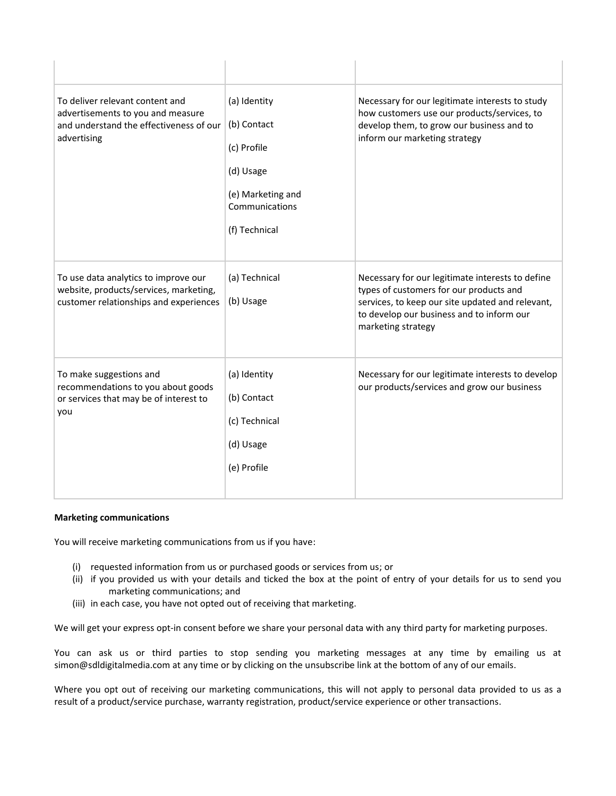| To deliver relevant content and<br>advertisements to you and measure<br>and understand the effectiveness of our<br>advertising | (a) Identity<br>(b) Contact<br>(c) Profile<br>(d) Usage<br>(e) Marketing and<br>Communications<br>(f) Technical | Necessary for our legitimate interests to study<br>how customers use our products/services, to<br>develop them, to grow our business and to<br>inform our marketing strategy                                       |
|--------------------------------------------------------------------------------------------------------------------------------|-----------------------------------------------------------------------------------------------------------------|--------------------------------------------------------------------------------------------------------------------------------------------------------------------------------------------------------------------|
| To use data analytics to improve our<br>website, products/services, marketing,<br>customer relationships and experiences       | (a) Technical<br>(b) Usage                                                                                      | Necessary for our legitimate interests to define<br>types of customers for our products and<br>services, to keep our site updated and relevant,<br>to develop our business and to inform our<br>marketing strategy |
| To make suggestions and<br>recommendations to you about goods<br>or services that may be of interest to<br>you                 | (a) Identity<br>(b) Contact<br>(c) Technical<br>(d) Usage<br>(e) Profile                                        | Necessary for our legitimate interests to develop<br>our products/services and grow our business                                                                                                                   |

#### **Marketing communications**

You will receive marketing communications from us if you have:

- (i) requested information from us or purchased goods or services from us; or
- (ii) if you provided us with your details and ticked the box at the point of entry of your details for us to send you marketing communications; and
- (iii) in each case, you have not opted out of receiving that marketing.

We will get your express opt-in consent before we share your personal data with any third party for marketing purposes.

You can ask us or third parties to stop sending you marketing messages at any time by emailing us at simon@sdldigitalmedia.com at any time or by clicking on the unsubscribe link at the bottom of any of our emails.

Where you opt out of receiving our marketing communications, this will not apply to personal data provided to us as a result of a product/service purchase, warranty registration, product/service experience or other transactions.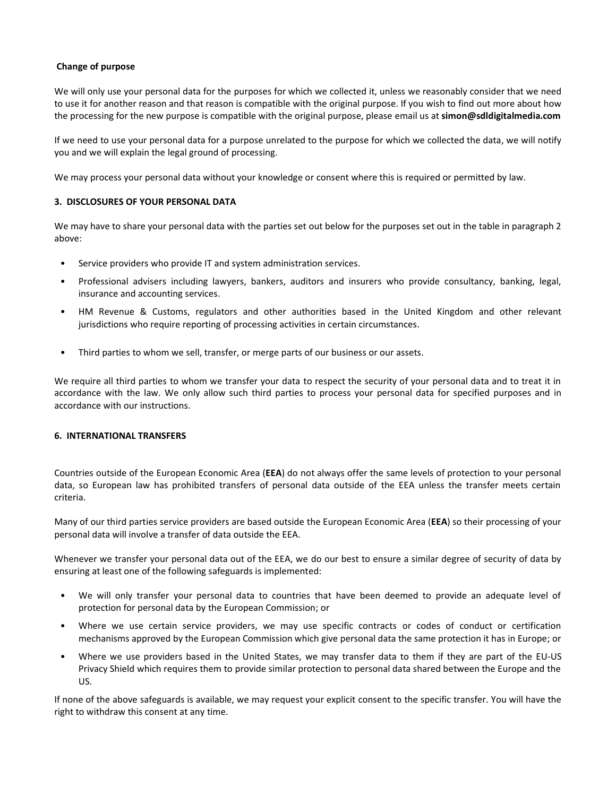## **Change of purpose**

We will only use your personal data for the purposes for which we collected it, unless we reasonably consider that we need to use it for another reason and that reason is compatible with the original purpose. If you wish to find out more about how the processing for the new purpose is compatible with the original purpose, please email us at **simon@sdldigitalmedia.com**

If we need to use your personal data for a purpose unrelated to the purpose for which we collected the data, we will notify you and we will explain the legal ground of processing.

We may process your personal data without your knowledge or consent where this is required or permitted by law.

## **3. DISCLOSURES OF YOUR PERSONAL DATA**

We may have to share your personal data with the parties set out below for the purposes set out in the table in paragraph 2 above:

- Service providers who provide IT and system administration services.
- Professional advisers including lawyers, bankers, auditors and insurers who provide consultancy, banking, legal, insurance and accounting services.
- HM Revenue & Customs, regulators and other authorities based in the United Kingdom and other relevant jurisdictions who require reporting of processing activities in certain circumstances.
- Third parties to whom we sell, transfer, or merge parts of our business or our assets.

We require all third parties to whom we transfer your data to respect the security of your personal data and to treat it in accordance with the law. We only allow such third parties to process your personal data for specified purposes and in accordance with our instructions.

## **6. INTERNATIONAL TRANSFERS**

Countries outside of the European Economic Area (**EEA**) do not always offer the same levels of protection to your personal data, so European law has prohibited transfers of personal data outside of the EEA unless the transfer meets certain criteria.

Many of our third parties service providers are based outside the European Economic Area (**EEA**) so their processing of your personal data will involve a transfer of data outside the EEA.

Whenever we transfer your personal data out of the EEA, we do our best to ensure a similar degree of security of data by ensuring at least one of the following safeguards is implemented:

- We will only transfer your personal data to countries that have been deemed to provide an adequate level of protection for personal data by the European Commission; or
- Where we use certain service providers, we may use specific contracts or codes of conduct or certification mechanisms approved by the European Commission which give personal data the same protection it has in Europe; or
- Where we use providers based in the United States, we may transfer data to them if they are part of the EU-US Privacy Shield which requires them to provide similar protection to personal data shared between the Europe and the US.

If none of the above safeguards is available, we may request your explicit consent to the specific transfer. You will have the right to withdraw this consent at any time.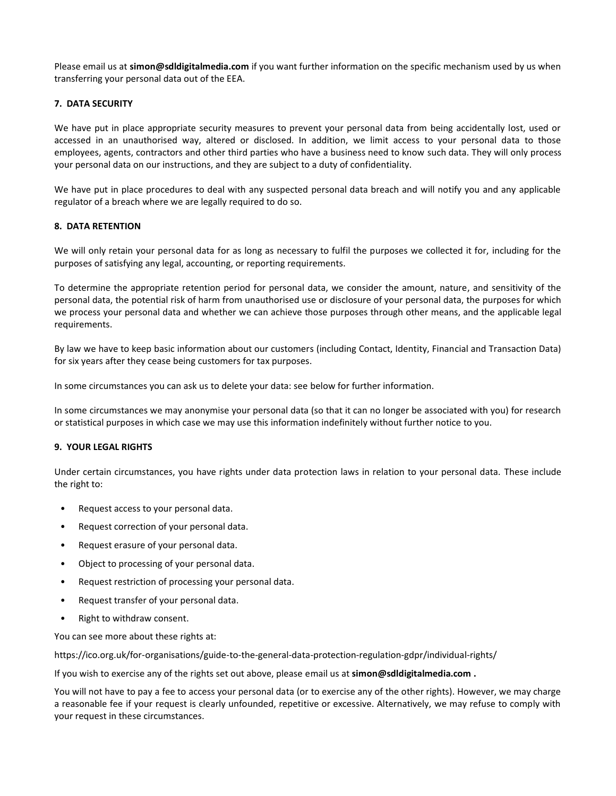Please email us at **simon@sdldigitalmedia.com** if you want further information on the specific mechanism used by us when transferring your personal data out of the EEA.

#### **7. DATA SECURITY**

We have put in place appropriate security measures to prevent your personal data from being accidentally lost, used or accessed in an unauthorised way, altered or disclosed. In addition, we limit access to your personal data to those employees, agents, contractors and other third parties who have a business need to know such data. They will only process your personal data on our instructions, and they are subject to a duty of confidentiality.

We have put in place procedures to deal with any suspected personal data breach and will notify you and any applicable regulator of a breach where we are legally required to do so.

## **8. DATA RETENTION**

We will only retain your personal data for as long as necessary to fulfil the purposes we collected it for, including for the purposes of satisfying any legal, accounting, or reporting requirements.

To determine the appropriate retention period for personal data, we consider the amount, nature, and sensitivity of the personal data, the potential risk of harm from unauthorised use or disclosure of your personal data, the purposes for which we process your personal data and whether we can achieve those purposes through other means, and the applicable legal requirements.

By law we have to keep basic information about our customers (including Contact, Identity, Financial and Transaction Data) for six years after they cease being customers for tax purposes.

In some circumstances you can ask us to delete your data: see below for further information.

In some circumstances we may anonymise your personal data (so that it can no longer be associated with you) for research or statistical purposes in which case we may use this information indefinitely without further notice to you.

#### **9. YOUR LEGAL RIGHTS**

Under certain circumstances, you have rights under data protection laws in relation to your personal data. These include the right to:

- Request access to your personal data.
- Request correction of your personal data.
- Request erasure of your personal data.
- Object to processing of your personal data.
- Request restriction of processing your personal data.
- Request transfer of your personal data.
- Right to withdraw consent.

You can see more about these rights at:

https://ico.org.uk/for-organisations/guide-to-the-general-data-protection-regulation-gdpr/individual-rights/

If you wish to exercise any of the rights set out above, please email us at **simon@sdldigitalmedia.com .** 

You will not have to pay a fee to access your personal data (or to exercise any of the other rights). However, we may charge a reasonable fee if your request is clearly unfounded, repetitive or excessive. Alternatively, we may refuse to comply with your request in these circumstances.